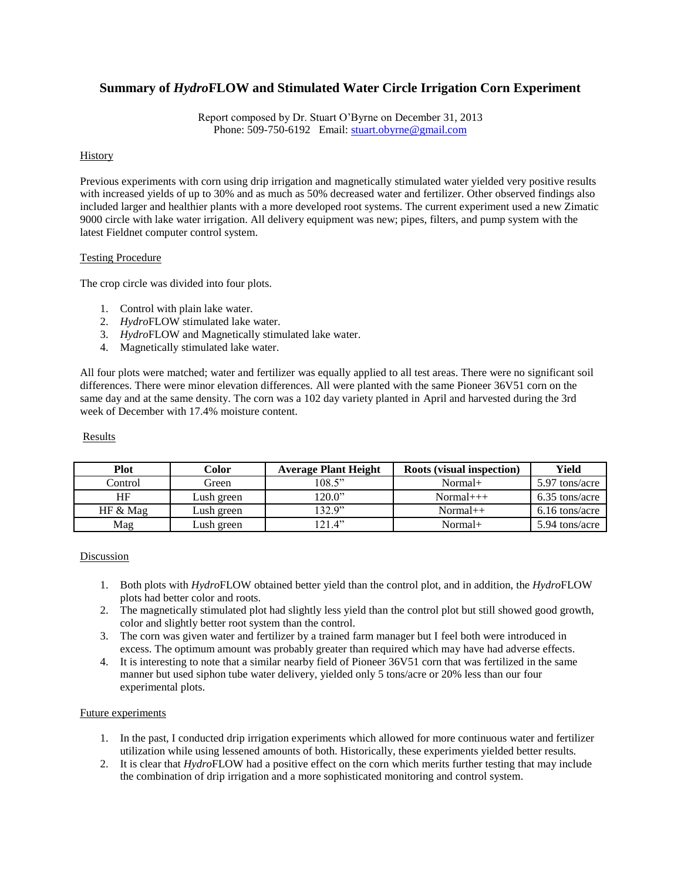# **Summary of** *Hydro***FLOW and Stimulated Water Circle Irrigation Corn Experiment**

Report composed by Dr. Stuart O'Byrne on December 31, 2013 Phone: 509-750-6192 Email: [stuart.obyrne@gmail.com](mailto:stuart.obyrne@gmail.com)

## History

Previous experiments with corn using drip irrigation and magnetically stimulated water yielded very positive results with increased yields of up to 30% and as much as 50% decreased water and fertilizer. Other observed findings also included larger and healthier plants with a more developed root systems. The current experiment used a new Zimatic 9000 circle with lake water irrigation. All delivery equipment was new; pipes, filters, and pump system with the latest Fieldnet computer control system.

#### Testing Procedure

The crop circle was divided into four plots.

- 1. Control with plain lake water.
- 2. *Hydro*FLOW stimulated lake water.
- 3. *Hydro*FLOW and Magnetically stimulated lake water.
- 4. Magnetically stimulated lake water.

All four plots were matched; water and fertilizer was equally applied to all test areas. There were no significant soil differences. There were minor elevation differences. All were planted with the same Pioneer 36V51 corn on the same day and at the same density. The corn was a 102 day variety planted in April and harvested during the 3rd week of December with 17.4% moisture content.

#### Results

| Plot     | Color      | <b>Average Plant Height</b> | <b>Roots (visual inspection)</b> | Yield          |
|----------|------------|-----------------------------|----------------------------------|----------------|
| Control  | Green      | 108.5"                      | $Normal+$                        | 5.97 tons/acre |
| HF       | Lush green | 120.0"                      | $Normal+++$                      | 6.35 tons/acre |
| HF & Mag | Lush green | 132.9"                      | $Normal++$                       | 6.16 tons/acre |
| Mag      | Lush green | 121.4"                      | $Normal+$                        | 5.94 tons/acre |

## **Discussion**

- 1. Both plots with *Hydro*FLOW obtained better yield than the control plot, and in addition, the *Hydro*FLOW plots had better color and roots.
- 2. The magnetically stimulated plot had slightly less yield than the control plot but still showed good growth, color and slightly better root system than the control.
- 3. The corn was given water and fertilizer by a trained farm manager but I feel both were introduced in excess. The optimum amount was probably greater than required which may have had adverse effects.
- 4. It is interesting to note that a similar nearby field of Pioneer 36V51 corn that was fertilized in the same manner but used siphon tube water delivery, yielded only 5 tons/acre or 20% less than our four experimental plots.

#### Future experiments

- 1. In the past, I conducted drip irrigation experiments which allowed for more continuous water and fertilizer utilization while using lessened amounts of both. Historically, these experiments yielded better results.
- 2. It is clear that *Hydro*FLOW had a positive effect on the corn which merits further testing that may include the combination of drip irrigation and a more sophisticated monitoring and control system.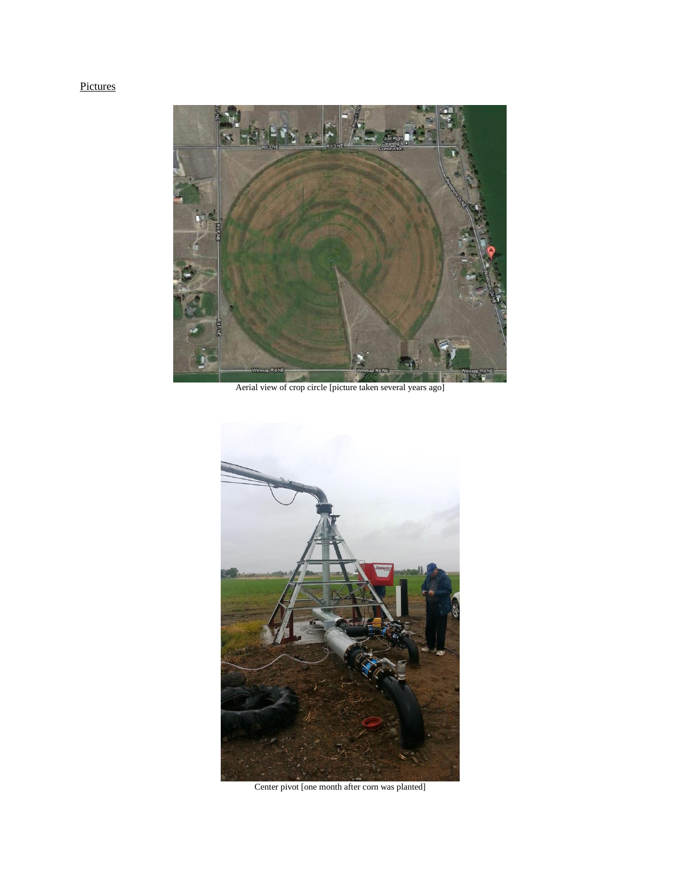# Pictures



Aerial view of crop circle [picture taken several years ago]



Center pivot [one month after corn was planted]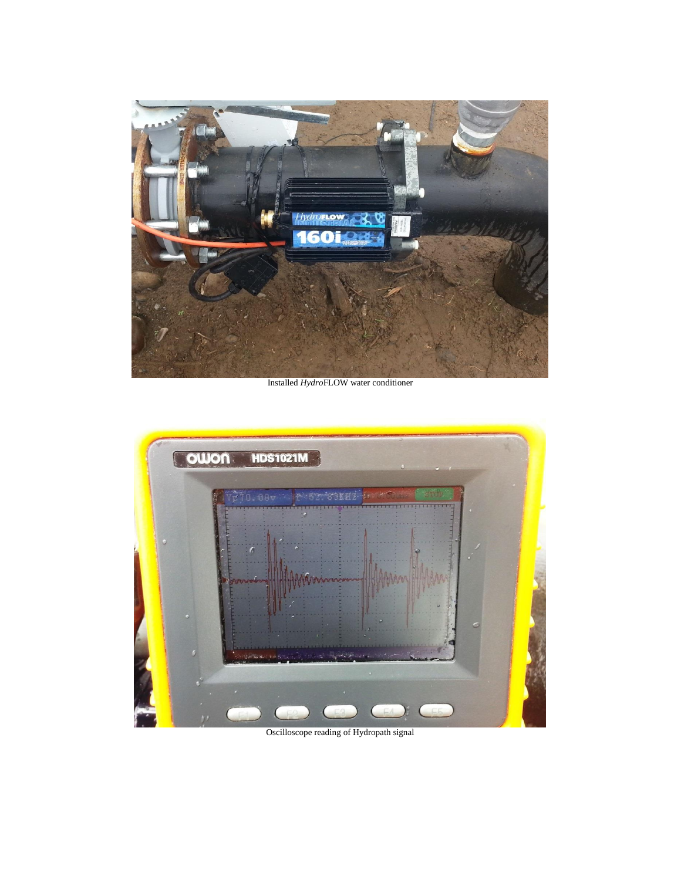

Installed *Hydro*FLOW water conditioner



Oscilloscope reading of Hydropath signal